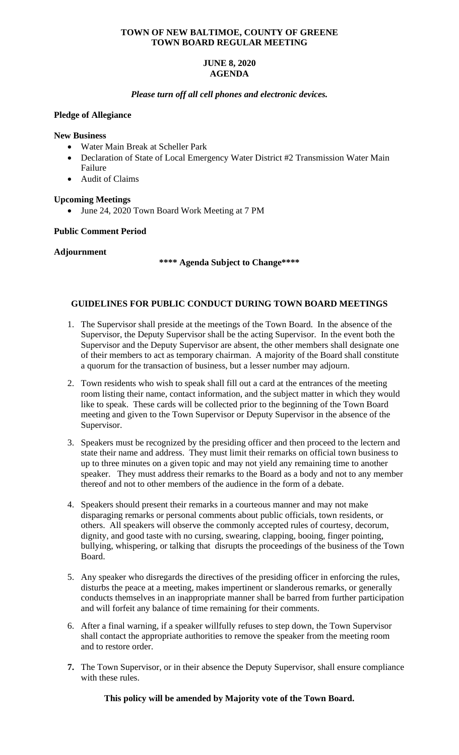### **TOWN OF NEW BALTIMOE, COUNTY OF GREENE TOWN BOARD REGULAR MEETING**

# **JUNE 8, 2020 AGENDA**

# *Please turn off all cell phones and electronic devices.*

# **Pledge of Allegiance**

#### **New Business**

- Water Main Break at Scheller Park
- Declaration of State of Local Emergency Water District #2 Transmission Water Main Failure
- Audit of Claims

# **Upcoming Meetings**

• June 24, 2020 Town Board Work Meeting at 7 PM

# **Public Comment Period**

# **Adjournment**

**\*\*\*\* Agenda Subject to Change\*\*\*\***

# **GUIDELINES FOR PUBLIC CONDUCT DURING TOWN BOARD MEETINGS**

- 1. The Supervisor shall preside at the meetings of the Town Board. In the absence of the Supervisor, the Deputy Supervisor shall be the acting Supervisor. In the event both the Supervisor and the Deputy Supervisor are absent, the other members shall designate one of their members to act as temporary chairman. A majority of the Board shall constitute a quorum for the transaction of business, but a lesser number may adjourn.
- 2. Town residents who wish to speak shall fill out a card at the entrances of the meeting room listing their name, contact information, and the subject matter in which they would like to speak. These cards will be collected prior to the beginning of the Town Board meeting and given to the Town Supervisor or Deputy Supervisor in the absence of the Supervisor.
- 3. Speakers must be recognized by the presiding officer and then proceed to the lectern and state their name and address. They must limit their remarks on official town business to up to three minutes on a given topic and may not yield any remaining time to another speaker. They must address their remarks to the Board as a body and not to any member thereof and not to other members of the audience in the form of a debate.
- 4. Speakers should present their remarks in a courteous manner and may not make disparaging remarks or personal comments about public officials, town residents, or others. All speakers will observe the commonly accepted rules of courtesy, decorum, dignity, and good taste with no cursing, swearing, clapping, booing, finger pointing, bullying, whispering, or talking that disrupts the proceedings of the business of the Town Board.
- 5. Any speaker who disregards the directives of the presiding officer in enforcing the rules, disturbs the peace at a meeting, makes impertinent or slanderous remarks, or generally conducts themselves in an inappropriate manner shall be barred from further participation and will forfeit any balance of time remaining for their comments.
- 6. After a final warning, if a speaker willfully refuses to step down, the Town Supervisor shall contact the appropriate authorities to remove the speaker from the meeting room and to restore order.
- **7.** The Town Supervisor, or in their absence the Deputy Supervisor, shall ensure compliance with these rules.

**This policy will be amended by Majority vote of the Town Board.**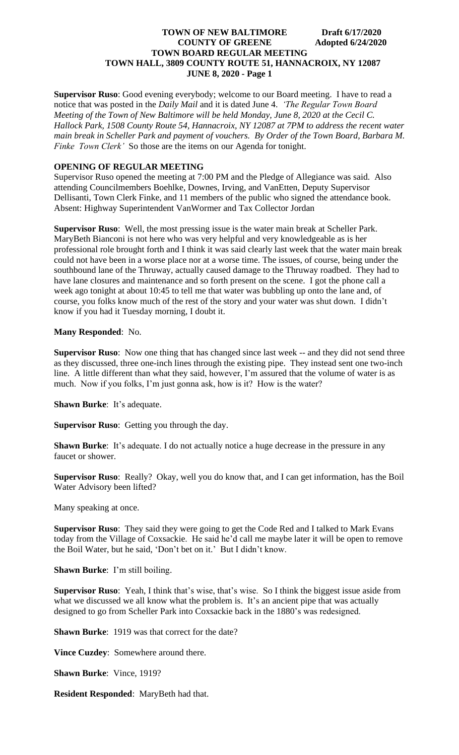**Supervisor Ruso**: Good evening everybody; welcome to our Board meeting. I have to read a notice that was posted in the *Daily Mail* and it is dated June 4. *'The Regular Town Board Meeting of the Town of New Baltimore will be held Monday, June 8, 2020 at the Cecil C. Hallock Park, 1508 County Route 54, Hannacroix, NY 12087 at 7PM to address the recent water main break in Scheller Park and payment of vouchers. By Order of the Town Board, Barbara M. Finke Town Clerk'* So those are the items on our Agenda for tonight.

# **OPENING OF REGULAR MEETING**

Supervisor Ruso opened the meeting at 7:00 PM and the Pledge of Allegiance was said. Also attending Councilmembers Boehlke, Downes, Irving, and VanEtten, Deputy Supervisor Dellisanti, Town Clerk Finke, and 11 members of the public who signed the attendance book. Absent: Highway Superintendent VanWormer and Tax Collector Jordan

**Supervisor Ruso**: Well, the most pressing issue is the water main break at Scheller Park. MaryBeth Bianconi is not here who was very helpful and very knowledgeable as is her professional role brought forth and I think it was said clearly last week that the water main break could not have been in a worse place nor at a worse time. The issues, of course, being under the southbound lane of the Thruway, actually caused damage to the Thruway roadbed. They had to have lane closures and maintenance and so forth present on the scene. I got the phone call a week ago tonight at about 10:45 to tell me that water was bubbling up onto the lane and, of course, you folks know much of the rest of the story and your water was shut down. I didn't know if you had it Tuesday morning, I doubt it.

#### **Many Responded**: No.

**Supervisor Ruso**: Now one thing that has changed since last week -- and they did not send three as they discussed, three one-inch lines through the existing pipe. They instead sent one two-inch line. A little different than what they said, however, I'm assured that the volume of water is as much. Now if you folks, I'm just gonna ask, how is it? How is the water?

**Shawn Burke**: It's adequate.

**Supervisor Ruso**: Getting you through the day.

**Shawn Burke:** It's adequate. I do not actually notice a huge decrease in the pressure in any faucet or shower.

**Supervisor Ruso**: Really? Okay, well you do know that, and I can get information, has the Boil Water Advisory been lifted?

Many speaking at once.

**Supervisor Ruso**: They said they were going to get the Code Red and I talked to Mark Evans today from the Village of Coxsackie. He said he'd call me maybe later it will be open to remove the Boil Water, but he said, 'Don't bet on it.' But I didn't know.

**Shawn Burke**: I'm still boiling.

**Supervisor Ruso**: Yeah, I think that's wise, that's wise. So I think the biggest issue aside from what we discussed we all know what the problem is. It's an ancient pipe that was actually designed to go from Scheller Park into Coxsackie back in the 1880's was redesigned.

**Shawn Burke**: 1919 was that correct for the date?

**Vince Cuzdey**: Somewhere around there.

**Shawn Burke**: Vince, 1919?

**Resident Responded**: MaryBeth had that.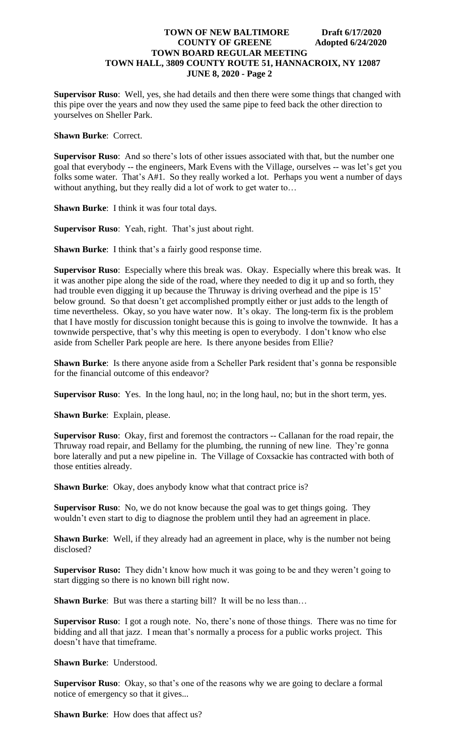**Supervisor Ruso**: Well, yes, she had details and then there were some things that changed with this pipe over the years and now they used the same pipe to feed back the other direction to yourselves on Sheller Park.

**Shawn Burke**: Correct.

**Supervisor Ruso**: And so there's lots of other issues associated with that, but the number one goal that everybody -- the engineers, Mark Evens with the Village, ourselves -- was let's get you folks some water. That's A#1. So they really worked a lot. Perhaps you went a number of days without anything, but they really did a lot of work to get water to…

**Shawn Burke**: I think it was four total days.

**Supervisor Ruso**: Yeah, right. That's just about right.

**Shawn Burke:** I think that's a fairly good response time.

**Supervisor Ruso**: Especially where this break was. Okay. Especially where this break was. It it was another pipe along the side of the road, where they needed to dig it up and so forth, they had trouble even digging it up because the Thruway is driving overhead and the pipe is 15' below ground. So that doesn't get accomplished promptly either or just adds to the length of time nevertheless. Okay, so you have water now. It's okay. The long-term fix is the problem that I have mostly for discussion tonight because this is going to involve the townwide. It has a townwide perspective, that's why this meeting is open to everybody. I don't know who else aside from Scheller Park people are here. Is there anyone besides from Ellie?

**Shawn Burke**: Is there anyone aside from a Scheller Park resident that's gonna be responsible for the financial outcome of this endeavor?

**Supervisor Ruso**: Yes. In the long haul, no; in the long haul, no; but in the short term, yes.

**Shawn Burke**: Explain, please.

**Supervisor Ruso**: Okay, first and foremost the contractors -- Callanan for the road repair, the Thruway road repair, and Bellamy for the plumbing, the running of new line. They're gonna bore laterally and put a new pipeline in. The Village of Coxsackie has contracted with both of those entities already.

**Shawn Burke**: Okay, does anybody know what that contract price is?

**Supervisor Ruso**: No, we do not know because the goal was to get things going. They wouldn't even start to dig to diagnose the problem until they had an agreement in place.

**Shawn Burke:** Well, if they already had an agreement in place, why is the number not being disclosed?

**Supervisor Ruso:** They didn't know how much it was going to be and they weren't going to start digging so there is no known bill right now.

**Shawn Burke**: But was there a starting bill? It will be no less than...

**Supervisor Ruso**: I got a rough note. No, there's none of those things. There was no time for bidding and all that jazz. I mean that's normally a process for a public works project. This doesn't have that timeframe.

**Shawn Burke**: Understood.

**Supervisor Ruso**: Okay, so that's one of the reasons why we are going to declare a formal notice of emergency so that it gives...

**Shawn Burke:** How does that affect us?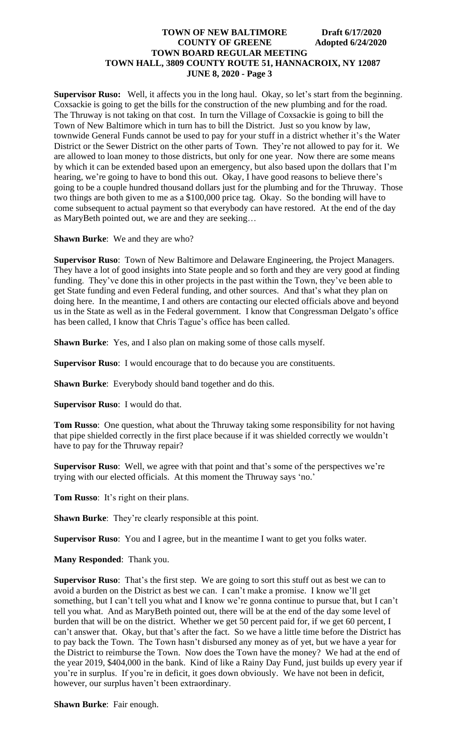**Supervisor Ruso:** Well, it affects you in the long haul. Okay, so let's start from the beginning. Coxsackie is going to get the bills for the construction of the new plumbing and for the road. The Thruway is not taking on that cost. In turn the Village of Coxsackie is going to bill the Town of New Baltimore which in turn has to bill the District. Just so you know by law, townwide General Funds cannot be used to pay for your stuff in a district whether it's the Water District or the Sewer District on the other parts of Town. They're not allowed to pay for it. We are allowed to loan money to those districts, but only for one year. Now there are some means by which it can be extended based upon an emergency, but also based upon the dollars that I'm hearing, we're going to have to bond this out. Okay, I have good reasons to believe there's going to be a couple hundred thousand dollars just for the plumbing and for the Thruway. Those two things are both given to me as a \$100,000 price tag. Okay. So the bonding will have to come subsequent to actual payment so that everybody can have restored. At the end of the day as MaryBeth pointed out, we are and they are seeking…

**Shawn Burke**: We and they are who?

**Supervisor Ruso**: Town of New Baltimore and Delaware Engineering, the Project Managers. They have a lot of good insights into State people and so forth and they are very good at finding funding. They've done this in other projects in the past within the Town, they've been able to get State funding and even Federal funding, and other sources. And that's what they plan on doing here. In the meantime, I and others are contacting our elected officials above and beyond us in the State as well as in the Federal government. I know that Congressman Delgato's office has been called, I know that Chris Tague's office has been called.

**Shawn Burke**: Yes, and I also plan on making some of those calls myself.

**Supervisor Ruso**: I would encourage that to do because you are constituents.

**Shawn Burke**: Everybody should band together and do this.

**Supervisor Ruso**: I would do that.

**Tom Russo**: One question, what about the Thruway taking some responsibility for not having that pipe shielded correctly in the first place because if it was shielded correctly we wouldn't have to pay for the Thruway repair?

**Supervisor Ruso**: Well, we agree with that point and that's some of the perspectives we're trying with our elected officials. At this moment the Thruway says 'no.'

**Tom Russo**: It's right on their plans.

**Shawn Burke:** They're clearly responsible at this point.

**Supervisor Ruso**: You and I agree, but in the meantime I want to get you folks water.

**Many Responded**: Thank you.

**Supervisor Ruso**: That's the first step. We are going to sort this stuff out as best we can to avoid a burden on the District as best we can. I can't make a promise. I know we'll get something, but I can't tell you what and I know we're gonna continue to pursue that, but I can't tell you what. And as MaryBeth pointed out, there will be at the end of the day some level of burden that will be on the district. Whether we get 50 percent paid for, if we get 60 percent, I can't answer that. Okay, but that's after the fact. So we have a little time before the District has to pay back the Town. The Town hasn't disbursed any money as of yet, but we have a year for the District to reimburse the Town. Now does the Town have the money? We had at the end of the year 2019, \$404,000 in the bank. Kind of like a Rainy Day Fund, just builds up every year if you're in surplus. If you're in deficit, it goes down obviously. We have not been in deficit, however, our surplus haven't been extraordinary.

**Shawn Burke**: Fair enough.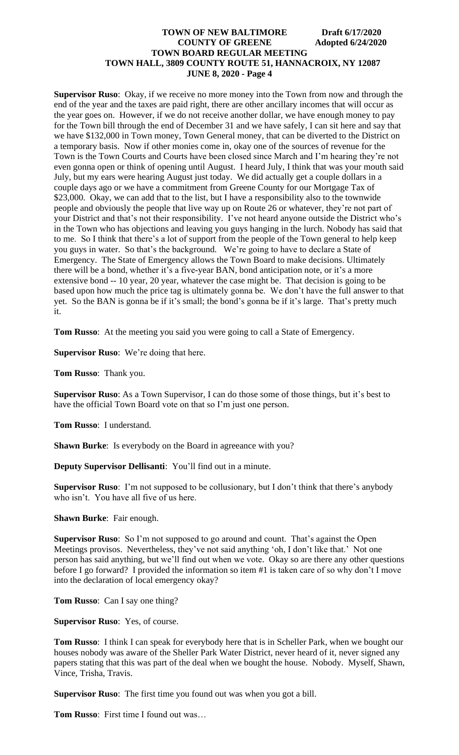**Supervisor Ruso**: Okay, if we receive no more money into the Town from now and through the end of the year and the taxes are paid right, there are other ancillary incomes that will occur as the year goes on. However, if we do not receive another dollar, we have enough money to pay for the Town bill through the end of December 31 and we have safely, I can sit here and say that we have \$132,000 in Town money, Town General money, that can be diverted to the District on a temporary basis. Now if other monies come in, okay one of the sources of revenue for the Town is the Town Courts and Courts have been closed since March and I'm hearing they're not even gonna open or think of opening until August. I heard July, I think that was your mouth said July, but my ears were hearing August just today. We did actually get a couple dollars in a couple days ago or we have a commitment from Greene County for our Mortgage Tax of \$23,000. Okay, we can add that to the list, but I have a responsibility also to the townwide people and obviously the people that live way up on Route 26 or whatever, they're not part of your District and that's not their responsibility. I've not heard anyone outside the District who's in the Town who has objections and leaving you guys hanging in the lurch. Nobody has said that to me. So I think that there's a lot of support from the people of the Town general to help keep you guys in water. So that's the background. We're going to have to declare a State of Emergency. The State of Emergency allows the Town Board to make decisions. Ultimately there will be a bond, whether it's a five-year BAN, bond anticipation note, or it's a more extensive bond -- 10 year, 20 year, whatever the case might be. That decision is going to be based upon how much the price tag is ultimately gonna be. We don't have the full answer to that yet. So the BAN is gonna be if it's small; the bond's gonna be if it's large. That's pretty much it.

**Tom Russo**: At the meeting you said you were going to call a State of Emergency.

**Supervisor Ruso**: We're doing that here.

**Tom Russo**: Thank you.

**Supervisor Ruso**: As a Town Supervisor, I can do those some of those things, but it's best to have the official Town Board vote on that so I'm just one person.

**Tom Russo**: I understand.

**Shawn Burke**: Is everybody on the Board in agreeance with you?

**Deputy Supervisor Dellisanti**: You'll find out in a minute.

**Supervisor Ruso**: I'm not supposed to be collusionary, but I don't think that there's anybody who isn't. You have all five of us here.

**Shawn Burke**: Fair enough.

**Supervisor Ruso**: So I'm not supposed to go around and count. That's against the Open Meetings provisos. Nevertheless, they've not said anything 'oh, I don't like that.' Not one person has said anything, but we'll find out when we vote. Okay so are there any other questions before I go forward? I provided the information so item #1 is taken care of so why don't I move into the declaration of local emergency okay?

**Tom Russo**: Can I say one thing?

**Supervisor Ruso**: Yes, of course.

**Tom Russo**: I think I can speak for everybody here that is in Scheller Park, when we bought our houses nobody was aware of the Sheller Park Water District, never heard of it, never signed any papers stating that this was part of the deal when we bought the house. Nobody. Myself, Shawn, Vince, Trisha, Travis.

**Supervisor Ruso**: The first time you found out was when you got a bill.

**Tom Russo**: First time I found out was…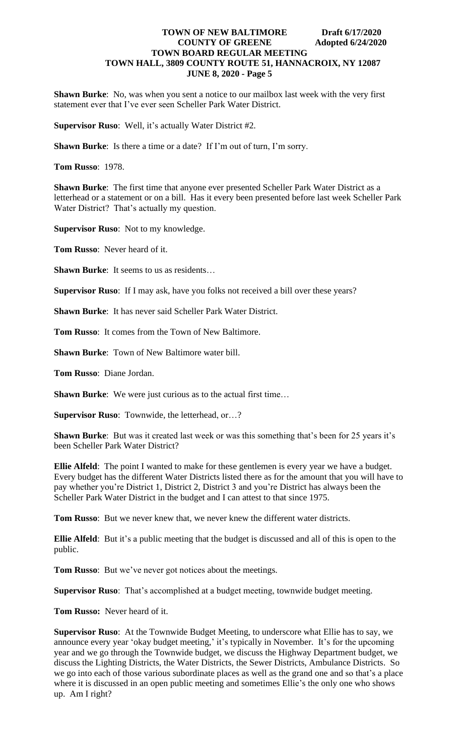**Shawn Burke**: No, was when you sent a notice to our mailbox last week with the very first statement ever that I've ever seen Scheller Park Water District.

**Supervisor Ruso**: Well, it's actually Water District #2.

**Shawn Burke**: Is there a time or a date? If I'm out of turn, I'm sorry.

**Tom Russo**: 1978.

**Shawn Burke**: The first time that anyone ever presented Scheller Park Water District as a letterhead or a statement or on a bill. Has it every been presented before last week Scheller Park Water District? That's actually my question.

**Supervisor Ruso**: Not to my knowledge.

**Tom Russo**: Never heard of it.

**Shawn Burke:** It seems to us as residents...

**Supervisor Ruso**: If I may ask, have you folks not received a bill over these years?

**Shawn Burke**: It has never said Scheller Park Water District.

**Tom Russo**: It comes from the Town of New Baltimore.

**Shawn Burke**: Town of New Baltimore water bill.

**Tom Russo**: Diane Jordan.

**Shawn Burke**: We were just curious as to the actual first time…

**Supervisor Ruso**: Townwide, the letterhead, or…?

**Shawn Burke**: But was it created last week or was this something that's been for 25 years it's been Scheller Park Water District?

**Ellie Alfeld**: The point I wanted to make for these gentlemen is every year we have a budget. Every budget has the different Water Districts listed there as for the amount that you will have to pay whether you're District 1, District 2, District 3 and you're District has always been the Scheller Park Water District in the budget and I can attest to that since 1975.

**Tom Russo**: But we never knew that, we never knew the different water districts.

**Ellie Alfeld**: But it's a public meeting that the budget is discussed and all of this is open to the public.

**Tom Russo**: But we've never got notices about the meetings.

**Supervisor Ruso**: That's accomplished at a budget meeting, townwide budget meeting.

**Tom Russo:** Never heard of it.

**Supervisor Ruso**: At the Townwide Budget Meeting, to underscore what Ellie has to say, we announce every year 'okay budget meeting,' it's typically in November. It's for the upcoming year and we go through the Townwide budget, we discuss the Highway Department budget, we discuss the Lighting Districts, the Water Districts, the Sewer Districts, Ambulance Districts. So we go into each of those various subordinate places as well as the grand one and so that's a place where it is discussed in an open public meeting and sometimes Ellie's the only one who shows up. Am I right?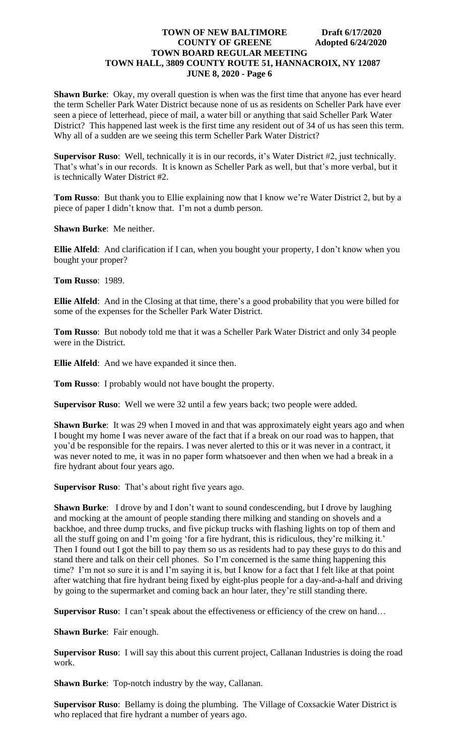**Shawn Burke**: Okay, my overall question is when was the first time that anyone has ever heard the term Scheller Park Water District because none of us as residents on Scheller Park have ever seen a piece of letterhead, piece of mail, a water bill or anything that said Scheller Park Water District? This happened last week is the first time any resident out of 34 of us has seen this term. Why all of a sudden are we seeing this term Scheller Park Water District?

**Supervisor Ruso**: Well, technically it is in our records, it's Water District #2, just technically. That's what's in our records. It is known as Scheller Park as well, but that's more verbal, but it is technically Water District #2.

**Tom Russo**: But thank you to Ellie explaining now that I know we're Water District 2, but by a piece of paper I didn't know that. I'm not a dumb person.

**Shawn Burke**: Me neither.

**Ellie Alfeld**: And clarification if I can, when you bought your property, I don't know when you bought your proper?

**Tom Russo**: 1989.

**Ellie Alfeld**: And in the Closing at that time, there's a good probability that you were billed for some of the expenses for the Scheller Park Water District.

**Tom Russo**: But nobody told me that it was a Scheller Park Water District and only 34 people were in the District.

**Ellie Alfeld**: And we have expanded it since then.

**Tom Russo**: I probably would not have bought the property.

**Supervisor Ruso**: Well we were 32 until a few years back; two people were added.

**Shawn Burke:** It was 29 when I moved in and that was approximately eight years ago and when I bought my home I was never aware of the fact that if a break on our road was to happen, that you'd be responsible for the repairs. I was never alerted to this or it was never in a contract, it was never noted to me, it was in no paper form whatsoever and then when we had a break in a fire hydrant about four years ago.

**Supervisor Ruso**: That's about right five years ago.

**Shawn Burke:** I drove by and I don't want to sound condescending, but I drove by laughing and mocking at the amount of people standing there milking and standing on shovels and a backhoe, and three dump trucks, and five pickup trucks with flashing lights on top of them and all the stuff going on and I'm going 'for a fire hydrant, this is ridiculous, they're milking it.' Then I found out I got the bill to pay them so us as residents had to pay these guys to do this and stand there and talk on their cell phones. So I'm concerned is the same thing happening this time? I'm not so sure it is and I'm saying it is, but I know for a fact that I felt like at that point after watching that fire hydrant being fixed by eight-plus people for a day-and-a-half and driving by going to the supermarket and coming back an hour later, they're still standing there.

**Supervisor Ruso**: I can't speak about the effectiveness or efficiency of the crew on hand...

**Shawn Burke**: Fair enough.

**Supervisor Ruso**: I will say this about this current project, Callanan Industries is doing the road work.

**Shawn Burke**: Top-notch industry by the way, Callanan.

**Supervisor Ruso**: Bellamy is doing the plumbing. The Village of Coxsackie Water District is who replaced that fire hydrant a number of years ago.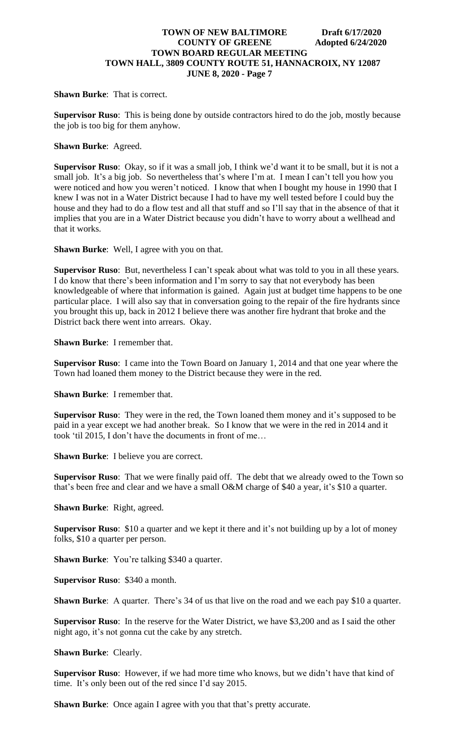**Shawn Burke**: That is correct.

**Supervisor Ruso**: This is being done by outside contractors hired to do the job, mostly because the job is too big for them anyhow.

**Shawn Burke**: Agreed.

**Supervisor Ruso**: Okay, so if it was a small job, I think we'd want it to be small, but it is not a small job. It's a big job. So nevertheless that's where I'm at. I mean I can't tell you how you were noticed and how you weren't noticed. I know that when I bought my house in 1990 that I knew I was not in a Water District because I had to have my well tested before I could buy the house and they had to do a flow test and all that stuff and so I'll say that in the absence of that it implies that you are in a Water District because you didn't have to worry about a wellhead and that it works.

**Shawn Burke**: Well, I agree with you on that.

**Supervisor Ruso**: But, nevertheless I can't speak about what was told to you in all these years. I do know that there's been information and I'm sorry to say that not everybody has been knowledgeable of where that information is gained. Again just at budget time happens to be one particular place. I will also say that in conversation going to the repair of the fire hydrants since you brought this up, back in 2012 I believe there was another fire hydrant that broke and the District back there went into arrears. Okay.

**Shawn Burke**: I remember that.

**Supervisor Ruso**: I came into the Town Board on January 1, 2014 and that one year where the Town had loaned them money to the District because they were in the red.

**Shawn Burke**: I remember that.

**Supervisor Ruso**: They were in the red, the Town loaned them money and it's supposed to be paid in a year except we had another break. So I know that we were in the red in 2014 and it took 'til 2015, I don't have the documents in front of me…

**Shawn Burke**: I believe you are correct.

**Supervisor Ruso**: That we were finally paid off. The debt that we already owed to the Town so that's been free and clear and we have a small O&M charge of \$40 a year, it's \$10 a quarter.

**Shawn Burke**: Right, agreed.

**Supervisor Ruso**: \$10 a quarter and we kept it there and it's not building up by a lot of money folks, \$10 a quarter per person.

**Shawn Burke:** You're talking \$340 a quarter.

**Supervisor Ruso**: \$340 a month.

**Shawn Burke:** A quarter. There's 34 of us that live on the road and we each pay \$10 a quarter.

**Supervisor Ruso**: In the reserve for the Water District, we have \$3,200 and as I said the other night ago, it's not gonna cut the cake by any stretch.

**Shawn Burke**: Clearly.

**Supervisor Ruso**: However, if we had more time who knows, but we didn't have that kind of time. It's only been out of the red since I'd say 2015.

**Shawn Burke:** Once again I agree with you that that's pretty accurate.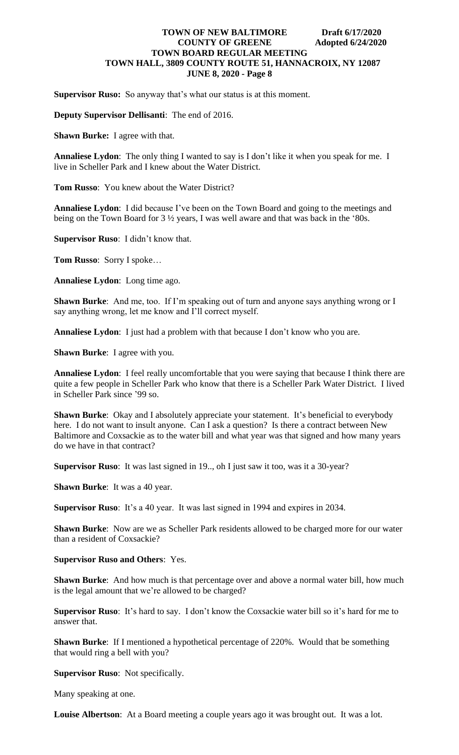**Supervisor Ruso:** So anyway that's what our status is at this moment.

**Deputy Supervisor Dellisanti**: The end of 2016.

**Shawn Burke:** I agree with that.

**Annaliese Lydon**: The only thing I wanted to say is I don't like it when you speak for me. I live in Scheller Park and I knew about the Water District.

**Tom Russo**: You knew about the Water District?

**Annaliese Lydon**: I did because I've been on the Town Board and going to the meetings and being on the Town Board for 3 ½ years, I was well aware and that was back in the '80s.

**Supervisor Ruso**: I didn't know that.

**Tom Russo**: Sorry I spoke…

**Annaliese Lydon**: Long time ago.

**Shawn Burke**: And me, too. If I'm speaking out of turn and anyone says anything wrong or I say anything wrong, let me know and I'll correct myself.

**Annaliese Lydon**: I just had a problem with that because I don't know who you are.

**Shawn Burke**: I agree with you.

**Annaliese Lydon**: I feel really uncomfortable that you were saying that because I think there are quite a few people in Scheller Park who know that there is a Scheller Park Water District. I lived in Scheller Park since '99 so.

**Shawn Burke**: Okay and I absolutely appreciate your statement. It's beneficial to everybody here. I do not want to insult anyone. Can I ask a question? Is there a contract between New Baltimore and Coxsackie as to the water bill and what year was that signed and how many years do we have in that contract?

**Supervisor Ruso**: It was last signed in 19.., oh I just saw it too, was it a 30-year?

**Shawn Burke**: It was a 40 year.

**Supervisor Ruso**: It's a 40 year. It was last signed in 1994 and expires in 2034.

**Shawn Burke**: Now are we as Scheller Park residents allowed to be charged more for our water than a resident of Coxsackie?

**Supervisor Ruso and Others**: Yes.

**Shawn Burke**: And how much is that percentage over and above a normal water bill, how much is the legal amount that we're allowed to be charged?

**Supervisor Ruso**: It's hard to say. I don't know the Coxsackie water bill so it's hard for me to answer that.

**Shawn Burke**: If I mentioned a hypothetical percentage of 220%. Would that be something that would ring a bell with you?

**Supervisor Ruso**: Not specifically.

Many speaking at one.

**Louise Albertson**: At a Board meeting a couple years ago it was brought out. It was a lot.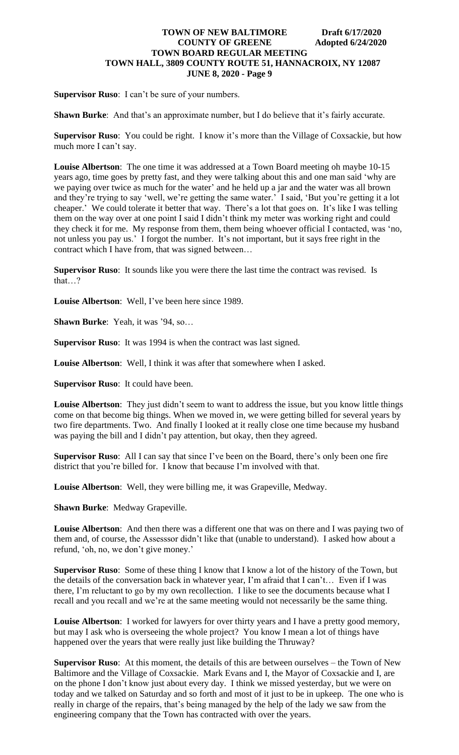**Supervisor Ruso**: I can't be sure of your numbers.

**Shawn Burke:** And that's an approximate number, but I do believe that it's fairly accurate.

**Supervisor Ruso**: You could be right. I know it's more than the Village of Coxsackie, but how much more I can't say.

**Louise Albertson**: The one time it was addressed at a Town Board meeting oh maybe 10-15 years ago, time goes by pretty fast, and they were talking about this and one man said 'why are we paying over twice as much for the water' and he held up a jar and the water was all brown and they're trying to say 'well, we're getting the same water.' I said, 'But you're getting it a lot cheaper.' We could tolerate it better that way. There's a lot that goes on. It's like I was telling them on the way over at one point I said I didn't think my meter was working right and could they check it for me. My response from them, them being whoever official I contacted, was 'no, not unless you pay us.' I forgot the number. It's not important, but it says free right in the contract which I have from, that was signed between…

**Supervisor Ruso**: It sounds like you were there the last time the contract was revised. Is that…?

**Louise Albertson**: Well, I've been here since 1989.

**Shawn Burke**: Yeah, it was '94, so…

**Supervisor Ruso**: It was 1994 is when the contract was last signed.

**Louise Albertson**: Well, I think it was after that somewhere when I asked.

**Supervisor Ruso**: It could have been.

**Louise Albertson**: They just didn't seem to want to address the issue, but you know little things come on that become big things. When we moved in, we were getting billed for several years by two fire departments. Two. And finally I looked at it really close one time because my husband was paying the bill and I didn't pay attention, but okay, then they agreed.

**Supervisor Ruso**: All I can say that since I've been on the Board, there's only been one fire district that you're billed for. I know that because I'm involved with that.

**Louise Albertson**: Well, they were billing me, it was Grapeville, Medway.

**Shawn Burke**: Medway Grapeville.

**Louise Albertson**: And then there was a different one that was on there and I was paying two of them and, of course, the Assesssor didn't like that (unable to understand). I asked how about a refund, 'oh, no, we don't give money.'

**Supervisor Ruso**: Some of these thing I know that I know a lot of the history of the Town, but the details of the conversation back in whatever year, I'm afraid that I can't… Even if I was there, I'm reluctant to go by my own recollection. I like to see the documents because what I recall and you recall and we're at the same meeting would not necessarily be the same thing.

**Louise Albertson**: I worked for lawyers for over thirty years and I have a pretty good memory, but may I ask who is overseeing the whole project? You know I mean a lot of things have happened over the years that were really just like building the Thruway?

**Supervisor Ruso**: At this moment, the details of this are between ourselves – the Town of New Baltimore and the Village of Coxsackie. Mark Evans and I, the Mayor of Coxsackie and I, are on the phone I don't know just about every day. I think we missed yesterday, but we were on today and we talked on Saturday and so forth and most of it just to be in upkeep. The one who is really in charge of the repairs, that's being managed by the help of the lady we saw from the engineering company that the Town has contracted with over the years.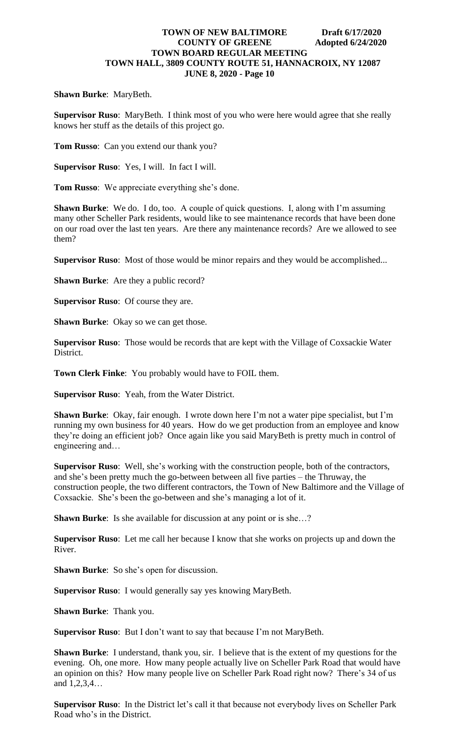#### **Shawn Burke**: MaryBeth.

**Supervisor Ruso**: MaryBeth. I think most of you who were here would agree that she really knows her stuff as the details of this project go.

**Tom Russo**: Can you extend our thank you?

**Supervisor Ruso**: Yes, I will. In fact I will.

**Tom Russo**: We appreciate everything she's done.

**Shawn Burke**: We do. I do, too. A couple of quick questions. I, along with I'm assuming many other Scheller Park residents, would like to see maintenance records that have been done on our road over the last ten years. Are there any maintenance records? Are we allowed to see them?

**Supervisor Ruso**: Most of those would be minor repairs and they would be accomplished...

**Shawn Burke**: Are they a public record?

**Supervisor Ruso**: Of course they are.

**Shawn Burke:** Okay so we can get those.

**Supervisor Ruso**: Those would be records that are kept with the Village of Coxsackie Water District.

**Town Clerk Finke**: You probably would have to FOIL them.

**Supervisor Ruso**: Yeah, from the Water District.

**Shawn Burke**: Okay, fair enough. I wrote down here I'm not a water pipe specialist, but I'm running my own business for 40 years. How do we get production from an employee and know they're doing an efficient job? Once again like you said MaryBeth is pretty much in control of engineering and…

**Supervisor Ruso**: Well, she's working with the construction people, both of the contractors, and she's been pretty much the go-between between all five parties – the Thruway, the construction people, the two different contractors, the Town of New Baltimore and the Village of Coxsackie. She's been the go-between and she's managing a lot of it.

**Shawn Burke:** Is she available for discussion at any point or is she...?

**Supervisor Ruso**: Let me call her because I know that she works on projects up and down the River.

**Shawn Burke**: So she's open for discussion.

**Supervisor Ruso**: I would generally say yes knowing MaryBeth.

**Shawn Burke**: Thank you.

**Supervisor Ruso**: But I don't want to say that because I'm not MaryBeth.

**Shawn Burke**: I understand, thank you, sir. I believe that is the extent of my questions for the evening. Oh, one more. How many people actually live on Scheller Park Road that would have an opinion on this? How many people live on Scheller Park Road right now? There's 34 of us and 1,2,3,4…

**Supervisor Ruso**: In the District let's call it that because not everybody lives on Scheller Park Road who's in the District.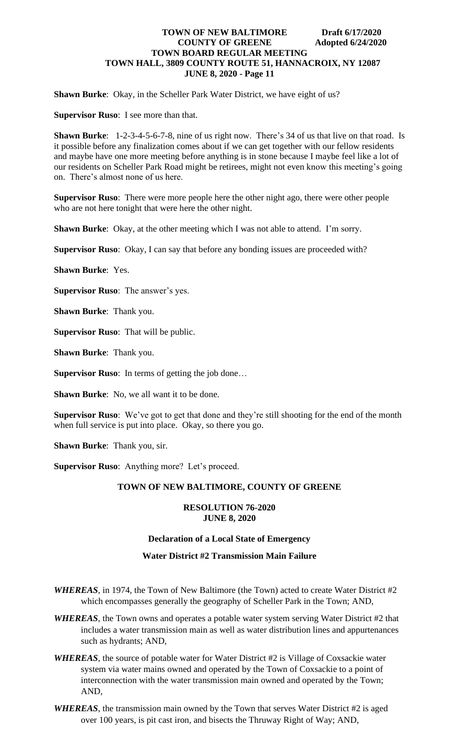**Shawn Burke**: Okay, in the Scheller Park Water District, we have eight of us?

**Supervisor Ruso**: I see more than that.

**Shawn Burke**: 1-2-3-4-5-6-7-8, nine of us right now. There's 34 of us that live on that road. Is it possible before any finalization comes about if we can get together with our fellow residents and maybe have one more meeting before anything is in stone because I maybe feel like a lot of our residents on Scheller Park Road might be retirees, might not even know this meeting's going on. There's almost none of us here.

**Supervisor Ruso**: There were more people here the other night ago, there were other people who are not here tonight that were here the other night.

**Shawn Burke**: Okay, at the other meeting which I was not able to attend. I'm sorry.

**Supervisor Ruso**: Okay, I can say that before any bonding issues are proceeded with?

**Shawn Burke**: Yes.

**Supervisor Ruso**: The answer's yes.

**Shawn Burke**: Thank you.

**Supervisor Ruso**: That will be public.

**Shawn Burke**: Thank you.

**Supervisor Ruso**: In terms of getting the job done…

**Shawn Burke:** No, we all want it to be done.

**Supervisor Ruso**: We've got to get that done and they're still shooting for the end of the month when full service is put into place. Okay, so there you go.

**Shawn Burke**: Thank you, sir.

**Supervisor Ruso**: Anything more? Let's proceed.

#### **TOWN OF NEW BALTIMORE, COUNTY OF GREENE**

#### **RESOLUTION 76-2020 JUNE 8, 2020**

#### **Declaration of a Local State of Emergency**

#### **Water District #2 Transmission Main Failure**

- *WHEREAS*, in 1974, the Town of New Baltimore (the Town) acted to create Water District #2 which encompasses generally the geography of Scheller Park in the Town; AND,
- *WHEREAS*, the Town owns and operates a potable water system serving Water District #2 that includes a water transmission main as well as water distribution lines and appurtenances such as hydrants; AND,
- *WHEREAS*, the source of potable water for Water District #2 is Village of Coxsackie water system via water mains owned and operated by the Town of Coxsackie to a point of interconnection with the water transmission main owned and operated by the Town; AND,
- *WHEREAS*, the transmission main owned by the Town that serves Water District #2 is aged over 100 years, is pit cast iron, and bisects the Thruway Right of Way; AND,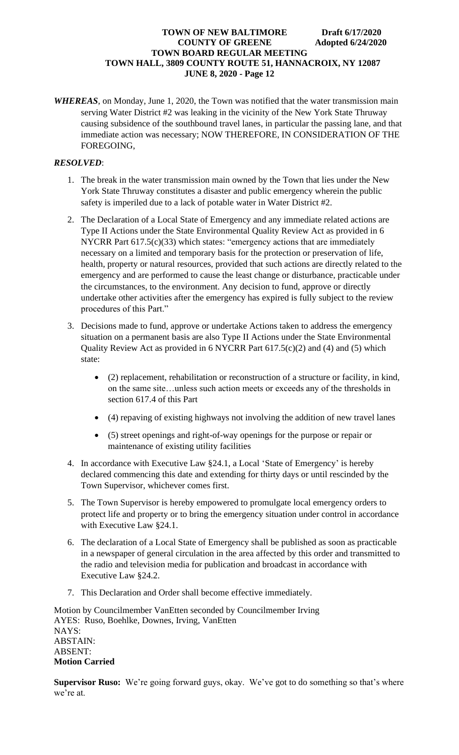*WHEREAS*, on Monday, June 1, 2020, the Town was notified that the water transmission main serving Water District #2 was leaking in the vicinity of the New York State Thruway causing subsidence of the southbound travel lanes, in particular the passing lane, and that immediate action was necessary; NOW THEREFORE, IN CONSIDERATION OF THE FOREGOING,

# *RESOLVED*:

- 1. The break in the water transmission main owned by the Town that lies under the New York State Thruway constitutes a disaster and public emergency wherein the public safety is imperiled due to a lack of potable water in Water District #2.
- 2. The Declaration of a Local State of Emergency and any immediate related actions are Type II Actions under the State Environmental Quality Review Act as provided in 6 NYCRR Part 617.5(c)(33) which states: "emergency actions that are immediately necessary on a limited and temporary basis for the protection or preservation of life, health, property or natural resources, provided that such actions are directly related to the emergency and are performed to cause the least change or disturbance, practicable under the circumstances, to the environment. Any decision to fund, approve or directly undertake other activities after the emergency has expired is fully subject to the review procedures of this Part."
- 3. Decisions made to fund, approve or undertake Actions taken to address the emergency situation on a permanent basis are also Type II Actions under the State Environmental Quality Review Act as provided in 6 NYCRR Part 617.5(c)(2) and (4) and (5) which state:
	- (2) replacement, rehabilitation or reconstruction of a structure or facility, in kind, on the same site…unless such action meets or exceeds any of the thresholds in section 617.4 of this Part
	- (4) repaving of existing highways not involving the addition of new travel lanes
	- (5) street openings and right-of-way openings for the purpose or repair or maintenance of existing utility facilities
- 4. In accordance with Executive Law §24.1, a Local 'State of Emergency' is hereby declared commencing this date and extending for thirty days or until rescinded by the Town Supervisor, whichever comes first.
- 5. The Town Supervisor is hereby empowered to promulgate local emergency orders to protect life and property or to bring the emergency situation under control in accordance with Executive Law §24.1.
- 6. The declaration of a Local State of Emergency shall be published as soon as practicable in a newspaper of general circulation in the area affected by this order and transmitted to the radio and television media for publication and broadcast in accordance with Executive Law §24.2.
- 7. This Declaration and Order shall become effective immediately.

Motion by Councilmember VanEtten seconded by Councilmember Irving AYES: Ruso, Boehlke, Downes, Irving, VanEtten NAYS: ABSTAIN: ABSENT: **Motion Carried**

**Supervisor Ruso:** We're going forward guys, okay. We've got to do something so that's where we're at.